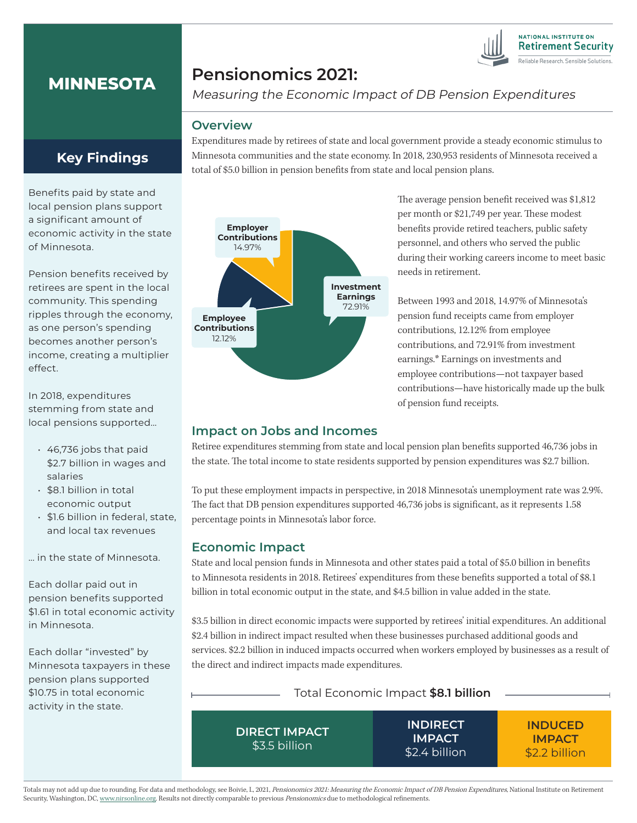

# **MINNESOTA**

# **Pensionomics 2021:**

Measuring the Economic Impact of DB Pension Expenditures

### **Overview**

Expenditures made by retirees of state and local government provide a steady economic stimulus to Minnesota communities and the state economy. In 2018, 230,953 residents of Minnesota received a total of \$5.0 billion in pension benefits from state and local pension plans.



The average pension benefit received was \$1,812 per month or \$21,749 per year. These modest benefits provide retired teachers, public safety personnel, and others who served the public during their working careers income to meet basic needs in retirement.

Between 1993 and 2018, 14.97% of Minnesota's pension fund receipts came from employer contributions, 12.12% from employee contributions, and 72.91% from investment earnings.\* Earnings on investments and employee contributions—not taxpayer based contributions—have historically made up the bulk of pension fund receipts.

### **Impact on Jobs and Incomes**

Retiree expenditures stemming from state and local pension plan benefits supported 46,736 jobs in the state. The total income to state residents supported by pension expenditures was \$2.7 billion.

To put these employment impacts in perspective, in 2018 Minnesota's unemployment rate was 2.9%. The fact that DB pension expenditures supported 46,736 jobs is significant, as it represents 1.58 percentage points in Minnesota's labor force.

## **Economic Impact**

State and local pension funds in Minnesota and other states paid a total of \$5.0 billion in benefits to Minnesota residents in 2018. Retirees' expenditures from these benefits supported a total of \$8.1 billion in total economic output in the state, and \$4.5 billion in value added in the state.

\$3.5 billion in direct economic impacts were supported by retirees' initial expenditures. An additional \$2.4 billion in indirect impact resulted when these businesses purchased additional goods and services. \$2.2 billion in induced impacts occurred when workers employed by businesses as a result of the direct and indirect impacts made expenditures.



**DIRECT IMPACT** \$3.5 billion **INDIRECT IMPACT** \$2.4 billion **INDUCED IMPACT** \$2.2 billion

**Key Findings**

Benefits paid by state and local pension plans support a significant amount of economic activity in the state of Minnesota.

Pension benefits received by retirees are spent in the local community. This spending ripples through the economy, as one person's spending becomes another person's income, creating a multiplier effect.

In 2018, expenditures stemming from state and local pensions supported…

- 46,736 jobs that paid \$2.7 billion in wages and salaries
- \$8.1 billion in total economic output
- \$1.6 billion in federal, state, and local tax revenues

… in the state of Minnesota.

Each dollar paid out in pension benefits supported \$1.61 in total economic activity in Minnesota.

Each dollar "invested" by Minnesota taxpayers in these pension plans supported \$10.75 in total economic activity in the state.

Totals may not add up due to rounding. For data and methodology, see Boivie, I., 2021, Pensionomics 2021: Measuring the Economic Impact of DB Pension Expenditures, National Institute on Retirement Security, Washington, DC, www.nirsonline.org. Results not directly comparable to previous Pensionomics due to methodological refinements.